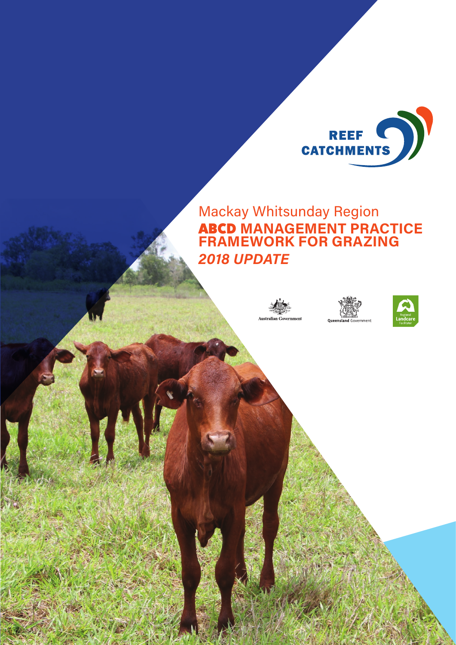

Mackay Whitsunday Region ABCD **MANAGEMENT PRACTICE FRAMEWORK FOR GRAZING** *2018 UPDATE*





Machines Whitsunday Regional Regional Regional Regional Regional Regional Regional Regional Regional Regional Regional Regional Regional Regional Regional Regional Regional Regional Regional Regional Regional Regional Regi

**FOR GRAZING** *2018 UPDATE* **1**

**ABCDO MANAGEMENT PRACTICE FRAMEWORK** 

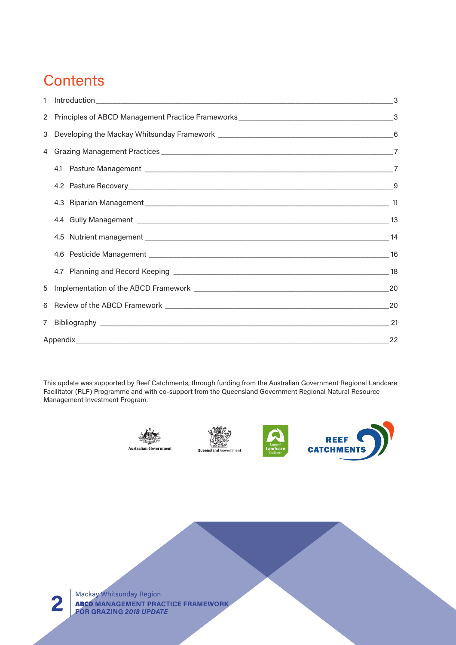## **Contents**

| 1           |    |
|-------------|----|
|             |    |
| 3           |    |
| 4           |    |
|             |    |
|             |    |
|             |    |
|             |    |
|             |    |
|             |    |
|             |    |
| 5           | 20 |
| 6           |    |
| $7^{\circ}$ |    |
|             | 22 |

This update was supported by Reef Catchments, through funding from the Australian Government Regional Landcare Facilitator (RLF) Programme and with co-support from the Queensland Government Regional Natural Resource Management Investment Program.









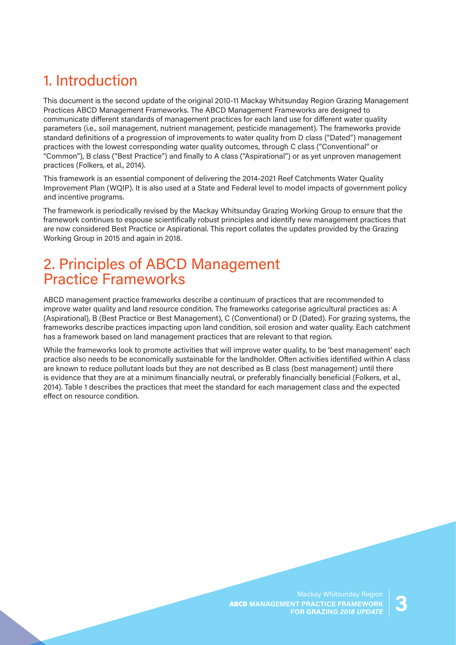## 1. Introduction

This document is the second update of the original 2010-11 Mackay Whitsunday Region Grazing Management Practices ABCD Management Frameworks. The ABCD Management Frameworks are designed to communicate different standards of management practices for each land use for different water quality parameters (i.e., soil management, nutrient management, pesticide management). The frameworks provide standard definitions of a progression of improvements to water quality from D class ("Dated") management practices with the lowest corresponding water quality outcomes, through C class ("Conventional" or "Common"), B class ("Best Practice") and finally to A class ("Aspirational") or as yet unproven management practices (Folkers, et al., 2014).

This framework is an essential component of delivering the 2014-2021 Reef Catchments Water Quality Improvement Plan (WQIP). It is also used at a State and Federal level to model impacts of government policy and incentive programs.

The framework is periodically revised by the Mackay Whitsunday Grazing Working Group to ensure that the framework continues to espouse scientifically robust principles and identify new management practices that are now considered Best Practice or Aspirational. This report collates the updates provided by the Grazing Working Group in 2015 and again in 2018.

## 2. Principles of ABCD Management Practice Frameworks

ABCD management practice frameworks describe a continuum of practices that are recommended to improve water quality and land resource condition. The frameworks categorise agricultural practices as: A (Aspirational), B (Best Practice or Best Management), C (Conventional) or D (Dated). For grazing systems, the frameworks describe practices impacting upon land condition, soil erosion and water quality. Each catchment has a framework based on land management practices that are relevant to that region.

While the frameworks look to promote activities that will improve water quality, to be 'best management' each practice also needs to be economically sustainable for the landholder. Often activities identified within A class are known to reduce pollutant loads but they are not described as B class (best management) until there is evidence that they are at a minimum financially neutral, or preferably financially beneficial (Folkers, et al., 2014). [Table 1](#page-3-0) describes the practices that meet the standard for each management class and the expected effect on resource condition.

> ABCD **MANAGEMENT PRACTICE FRAMEWORK FOR GRAZING AND READ ASSAUR**<br>**FOR GRAZING 2018 UPDATE**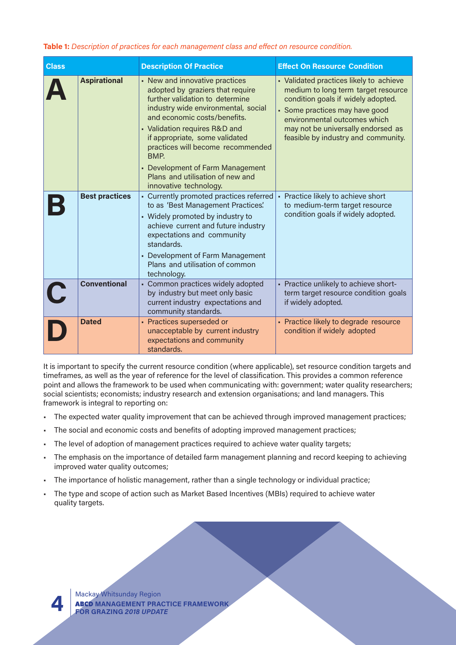#### <span id="page-3-0"></span>**Table 1:** *Description of practices for each management class and effect on resource condition.*

| <b>Class</b> |                       | <b>Description Of Practice</b>                                                                                                                                                                                                                                                                                                                                                                        | <b>Effect On Resource Condition</b>                                                                                                                                                                                                                                 |  |
|--------------|-----------------------|-------------------------------------------------------------------------------------------------------------------------------------------------------------------------------------------------------------------------------------------------------------------------------------------------------------------------------------------------------------------------------------------------------|---------------------------------------------------------------------------------------------------------------------------------------------------------------------------------------------------------------------------------------------------------------------|--|
|              | <b>Aspirational</b>   | • New and innovative practices<br>adopted by graziers that require<br>further validation to determine<br>industry wide environmental, social<br>and economic costs/benefits.<br>• Validation requires R&D and<br>if appropriate, some validated<br>practices will become recommended<br><b>BMP.</b><br>• Development of Farm Management<br>Plans and utilisation of new and<br>innovative technology. | • Validated practices likely to achieve<br>medium to long term target resource<br>condition goals if widely adopted.<br>• Some practices may have good<br>environmental outcomes which<br>may not be universally endorsed as<br>feasible by industry and community. |  |
|              | <b>Best practices</b> | • Currently promoted practices referred<br>to as 'Best Management Practices'.<br>• Widely promoted by industry to<br>achieve current and future industry<br>expectations and community<br>standards.<br>• Development of Farm Management<br>Plans and utilisation of common<br>technology.                                                                                                            | • Practice likely to achieve short<br>to medium-term target resource<br>condition goals if widely adopted.                                                                                                                                                          |  |
|              | <b>Conventional</b>   | • Common practices widely adopted<br>by industry but meet only basic<br>current industry expectations and<br>community standards.                                                                                                                                                                                                                                                                     | - Practice unlikely to achieve short-<br>term target resource condition goals<br>if widely adopted.                                                                                                                                                                 |  |
|              | <b>Dated</b>          | • Practices superseded or<br>unacceptable by current industry<br>expectations and community<br>standards.                                                                                                                                                                                                                                                                                             | - Practice likely to degrade resource<br>condition if widely adopted                                                                                                                                                                                                |  |

It is important to specify the current resource condition (where applicable), set resource condition targets and timeframes, as well as the year of reference for the level of classification. This provides a common reference point and allows the framework to be used when communicating with: government; water quality researchers; social scientists; economists; industry research and extension organisations; and land managers. This framework is integral to reporting on:

- The expected water quality improvement that can be achieved through improved management practices;
- The social and economic costs and benefits of adopting improved management practices;
- The level of adoption of management practices required to achieve water quality targets;
- The emphasis on the importance of detailed farm management planning and record keeping to achieving improved water quality outcomes;
- The importance of holistic management, rather than a single technology or individual practice;
- The type and scope of action such as Market Based Incentives (MBIs) required to achieve water quality targets.

Mackay Whitsunday Region ABCD **MANAGEMENT PRACTICE FRAMEWORK 4 FOR GRAZING** *2018 UPDATE*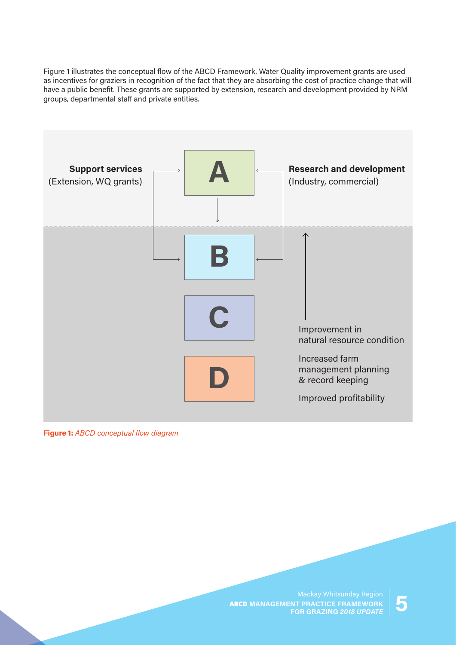[Figure 1](#page-4-0) illustrates the conceptual flow of the ABCD Framework. Water Quality improvement grants are used as incentives for graziers in recognition of the fact that they are absorbing the cost of practice change that will have a public benefit. These grants are supported by extension, research and development provided by NRM groups, departmental staff and private entities.



#### <span id="page-4-0"></span>**Figure 1:** *ABCD conceptual flow diagram*

ABCD **MANAGEMENT PRACTICE FRAMEWORK FOR GRAZING AND READ ASSAUR**<br>**FOR GRAZING 2018 UPDATE**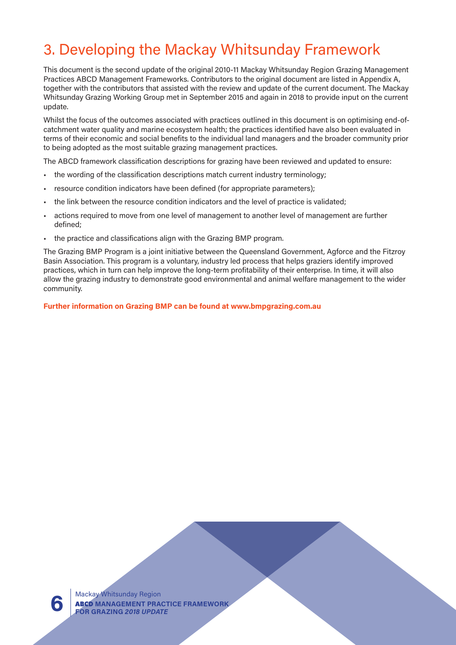## 3. Developing the Mackay Whitsunday Framework

This document is the second update of the original 2010-11 Mackay Whitsunday Region Grazing Management Practices ABCD Management Frameworks. Contributors to the original document are listed in Appendix A, together with the contributors that assisted with the review and update of the current document. The Mackay Whitsunday Grazing Working Group met in September 2015 and again in 2018 to provide input on the current update.

Whilst the focus of the outcomes associated with practices outlined in this document is on optimising end-ofcatchment water quality and marine ecosystem health; the practices identified have also been evaluated in terms of their economic and social benefits to the individual land managers and the broader community prior to being adopted as the most suitable grazing management practices.

The ABCD framework classification descriptions for grazing have been reviewed and updated to ensure:

- the wording of the classification descriptions match current industry terminology;
- resource condition indicators have been defined (for appropriate parameters);
- the link between the resource condition indicators and the level of practice is validated;
- actions required to move from one level of management to another level of management are further defined;
- the practice and classifications align with the Grazing BMP program.

The Grazing BMP Program is a joint initiative between the Queensland Government, Agforce and the Fitzroy Basin Association. This program is a voluntary, industry led process that helps graziers identify improved practices, which in turn can help improve the long-term profitability of their enterprise. In time, it will also allow the grazing industry to demonstrate good environmental and animal welfare management to the wider community.

**Further information on Grazing BMP can be found at [www.bmpgrazing.com.au](http://www.bmpgrazing.com.au)**

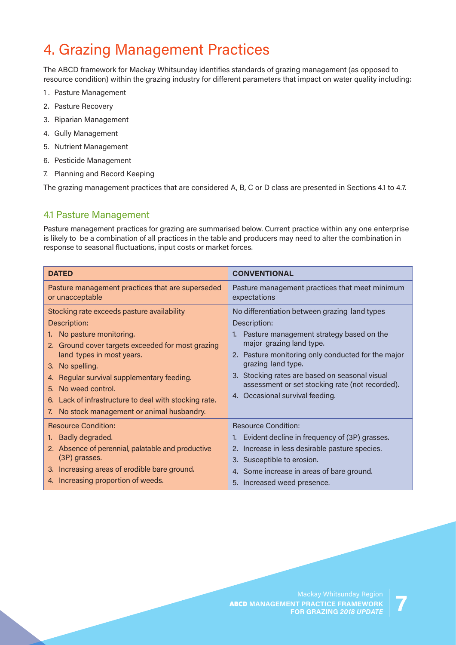## 4. Grazing Management Practices

The ABCD framework for Mackay Whitsunday identifies standards of grazing management (as opposed to resource condition) within the grazing industry for different parameters that impact on water quality including:

- 1 . Pasture Management
- 2. Pasture Recovery
- 3. Riparian Management
- 4. Gully Management
- 5. Nutrient Management
- 6. Pesticide Management
- 7. Planning and Record Keeping

The grazing management practices that are considered A, B, C or D class are presented in Sections [4.1](#page-6-0) to 4.7.

### <span id="page-6-0"></span>4.1 Pasture Management

Pasture management practices for grazing are summarised below. Current practice within any one enterprise is likely to be a combination of all practices in the table and producers may need to alter the combination in response to seasonal fluctuations, input costs or market forces.

| <b>DATED</b>                                                                                                                                                                                                                                                                                                                                                                       | <b>CONVENTIONAL</b>                                                                                                                                                                                                                                                                                                                                             |
|------------------------------------------------------------------------------------------------------------------------------------------------------------------------------------------------------------------------------------------------------------------------------------------------------------------------------------------------------------------------------------|-----------------------------------------------------------------------------------------------------------------------------------------------------------------------------------------------------------------------------------------------------------------------------------------------------------------------------------------------------------------|
| Pasture management practices that are superseded<br>or unacceptable                                                                                                                                                                                                                                                                                                                | Pasture management practices that meet minimum<br>expectations                                                                                                                                                                                                                                                                                                  |
| Stocking rate exceeds pasture availability<br>Description:<br>No pasture monitoring.<br>1.<br>2. Ground cover targets exceeded for most grazing<br>land types in most years.<br>3. No spelling.<br>Regular survival supplementary feeding.<br>4.<br>5. No weed control.<br>6. Lack of infrastructure to deal with stocking rate.<br>No stock management or animal husbandry.<br>7. | No differentiation between grazing land types<br>Description:<br>1. Pasture management strategy based on the<br>major grazing land type.<br>2. Pasture monitoring only conducted for the major<br>grazing land type.<br>3. Stocking rates are based on seasonal visual<br>assessment or set stocking rate (not recorded).<br>Occasional survival feeding.<br>4. |
| <b>Resource Condition:</b><br>Badly degraded.<br>1.<br>2. Absence of perennial, palatable and productive<br>(3P) grasses.<br>3. Increasing areas of erodible bare ground.<br>4. Increasing proportion of weeds.                                                                                                                                                                    | <b>Resource Condition:</b><br>Evident decline in frequency of (3P) grasses.<br>2. Increase in less desirable pasture species.<br>3. Susceptible to erosion.<br>4. Some increase in areas of bare ground.                                                                                                                                                        |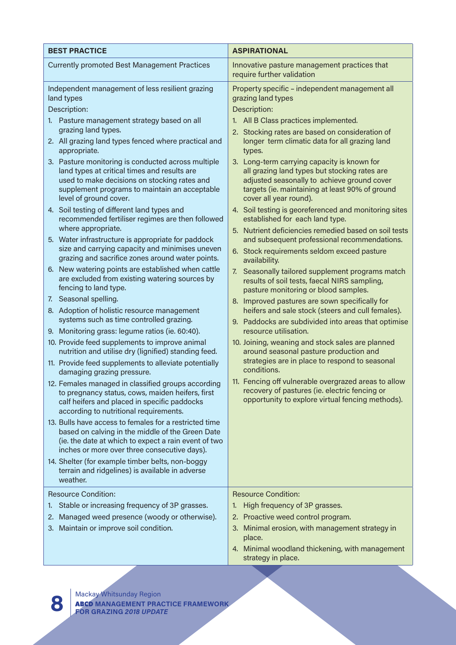| <b>BEST PRACTICE</b>                                                                                                                                                                                                                                                                                                                                                                                                                                                                                                                                                                                                                                                                                                                                                                                                                                                                                                                                                                                                                                                                                                                                                                                                                                                                                                                                                                                                                                                                                                                                                                                                                                                                                                                                                                                      | <b>ASPIRATIONAL</b>                                                                                                                                                                                                                                                                                                                                                                                                                                                                                                                                                                                                                                                                                                                                                                                                                                                                                                                                                                                                                                                                                                                                                                                                                                                                                                                                                                                          |
|-----------------------------------------------------------------------------------------------------------------------------------------------------------------------------------------------------------------------------------------------------------------------------------------------------------------------------------------------------------------------------------------------------------------------------------------------------------------------------------------------------------------------------------------------------------------------------------------------------------------------------------------------------------------------------------------------------------------------------------------------------------------------------------------------------------------------------------------------------------------------------------------------------------------------------------------------------------------------------------------------------------------------------------------------------------------------------------------------------------------------------------------------------------------------------------------------------------------------------------------------------------------------------------------------------------------------------------------------------------------------------------------------------------------------------------------------------------------------------------------------------------------------------------------------------------------------------------------------------------------------------------------------------------------------------------------------------------------------------------------------------------------------------------------------------------|--------------------------------------------------------------------------------------------------------------------------------------------------------------------------------------------------------------------------------------------------------------------------------------------------------------------------------------------------------------------------------------------------------------------------------------------------------------------------------------------------------------------------------------------------------------------------------------------------------------------------------------------------------------------------------------------------------------------------------------------------------------------------------------------------------------------------------------------------------------------------------------------------------------------------------------------------------------------------------------------------------------------------------------------------------------------------------------------------------------------------------------------------------------------------------------------------------------------------------------------------------------------------------------------------------------------------------------------------------------------------------------------------------------|
| <b>Currently promoted Best Management Practices</b>                                                                                                                                                                                                                                                                                                                                                                                                                                                                                                                                                                                                                                                                                                                                                                                                                                                                                                                                                                                                                                                                                                                                                                                                                                                                                                                                                                                                                                                                                                                                                                                                                                                                                                                                                       | Innovative pasture management practices that<br>require further validation                                                                                                                                                                                                                                                                                                                                                                                                                                                                                                                                                                                                                                                                                                                                                                                                                                                                                                                                                                                                                                                                                                                                                                                                                                                                                                                                   |
| Independent management of less resilient grazing<br>land types<br>Description:<br>1. Pasture management strategy based on all<br>grazing land types.<br>2. All grazing land types fenced where practical and<br>appropriate.<br>3. Pasture monitoring is conducted across multiple<br>land types at critical times and results are<br>used to make decisions on stocking rates and<br>supplement programs to maintain an acceptable<br>level of ground cover.<br>4. Soil testing of different land types and<br>recommended fertiliser regimes are then followed<br>where appropriate.<br>5. Water infrastructure is appropriate for paddock<br>size and carrying capacity and minimises uneven<br>grazing and sacrifice zones around water points.<br>6. New watering points are established when cattle<br>are excluded from existing watering sources by<br>fencing to land type.<br>7. Seasonal spelling.<br>8. Adoption of holistic resource management<br>systems such as time controlled grazing.<br>9. Monitoring grass: legume ratios (ie. 60:40).<br>10. Provide feed supplements to improve animal<br>nutrition and utilise dry (lignified) standing feed.<br>11. Provide feed supplements to alleviate potentially<br>damaging grazing pressure.<br>12. Females managed in classified groups according<br>to pregnancy status, cows, maiden heifers, first<br>calf heifers and placed in specific paddocks<br>according to nutritional requirements.<br>13. Bulls have access to females for a restricted time<br>based on calving in the middle of the Green Date<br>(ie. the date at which to expect a rain event of two<br>inches or more over three consecutive days).<br>14. Shelter (for example timber belts, non-boggy<br>terrain and ridgelines) is available in adverse<br>weather. | Property specific - independent management all<br>grazing land types<br>Description:<br>1. All B Class practices implemented.<br>2. Stocking rates are based on consideration of<br>longer term climatic data for all grazing land<br>types.<br>3. Long-term carrying capacity is known for<br>all grazing land types but stocking rates are<br>adjusted seasonally to achieve ground cover<br>targets (ie. maintaining at least 90% of ground<br>cover all year round).<br>4. Soil testing is georeferenced and monitoring sites<br>established for each land type.<br>5. Nutrient deficiencies remedied based on soil tests<br>and subsequent professional recommendations.<br>6. Stock requirements seldom exceed pasture<br>availability.<br>7. Seasonally tailored supplement programs match<br>results of soil tests, faecal NIRS sampling,<br>pasture monitoring or blood samples.<br>8. Improved pastures are sown specifically for<br>heifers and sale stock (steers and cull females).<br>9. Paddocks are subdivided into areas that optimise<br>resource utilisation.<br>10. Joining, weaning and stock sales are planned<br>around seasonal pasture production and<br>strategies are in place to respond to seasonal<br>conditions.<br>11. Fencing off vulnerable overgrazed areas to allow<br>recovery of pastures (ie. electric fencing or<br>opportunity to explore virtual fencing methods). |
| <b>Resource Condition:</b><br>Stable or increasing frequency of 3P grasses.<br>1.<br>Managed weed presence (woody or otherwise).<br>2.<br>3. Maintain or improve soil condition.                                                                                                                                                                                                                                                                                                                                                                                                                                                                                                                                                                                                                                                                                                                                                                                                                                                                                                                                                                                                                                                                                                                                                                                                                                                                                                                                                                                                                                                                                                                                                                                                                          | <b>Resource Condition:</b><br>High frequency of 3P grasses.<br>1.<br>2. Proactive weed control program.<br>3. Minimal erosion, with management strategy in<br>place.<br>4. Minimal woodland thickening, with management<br>strategy in place.                                                                                                                                                                                                                                                                                                                                                                                                                                                                                                                                                                                                                                                                                                                                                                                                                                                                                                                                                                                                                                                                                                                                                                |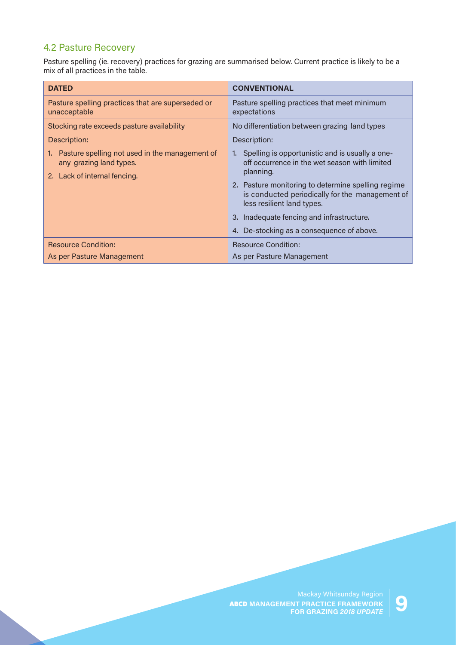### 4.2 Pasture Recovery

Pasture spelling (ie. recovery) practices for grazing are summarised below. Current practice is likely to be a mix of all practices in the table.

| <b>DATED</b>                                                                                              | <b>CONVENTIONAL</b>                                                                                                                                                                                                                                                                                                                            |
|-----------------------------------------------------------------------------------------------------------|------------------------------------------------------------------------------------------------------------------------------------------------------------------------------------------------------------------------------------------------------------------------------------------------------------------------------------------------|
| Pasture spelling practices that are superseded or<br>unacceptable                                         | Pasture spelling practices that meet minimum<br>expectations                                                                                                                                                                                                                                                                                   |
| Stocking rate exceeds pasture availability                                                                | No differentiation between grazing land types                                                                                                                                                                                                                                                                                                  |
| Description:                                                                                              | Description:                                                                                                                                                                                                                                                                                                                                   |
| Pasture spelling not used in the management of<br>any grazing land types.<br>2. Lack of internal fencing. | Spelling is opportunistic and is usually a one-<br>off occurrence in the wet season with limited<br>planning.<br>2. Pasture monitoring to determine spelling regime<br>is conducted periodically for the management of<br>less resilient land types.<br>3. Inadequate fencing and infrastructure.<br>4. De-stocking as a consequence of above. |
| <b>Resource Condition:</b>                                                                                | <b>Resource Condition:</b>                                                                                                                                                                                                                                                                                                                     |
| As per Pasture Management                                                                                 | As per Pasture Management                                                                                                                                                                                                                                                                                                                      |

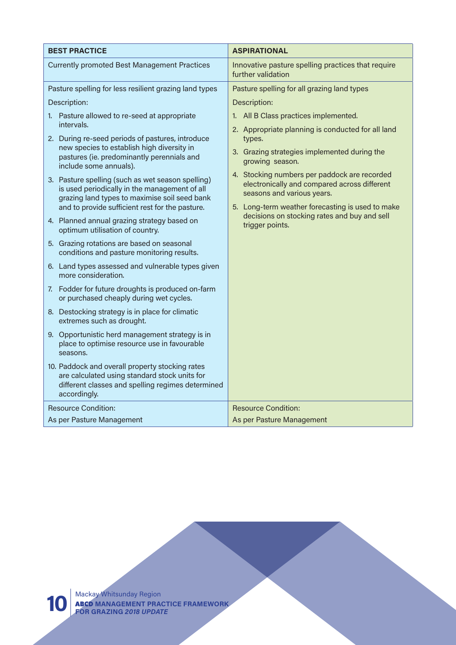| <b>BEST PRACTICE</b>                                                                                                                                  | <b>ASPIRATIONAL</b>                                                                          |
|-------------------------------------------------------------------------------------------------------------------------------------------------------|----------------------------------------------------------------------------------------------|
| <b>Currently promoted Best Management Practices</b>                                                                                                   | Innovative pasture spelling practices that require<br>further validation                     |
| Pasture spelling for less resilient grazing land types                                                                                                | Pasture spelling for all grazing land types                                                  |
| Description:                                                                                                                                          | Description:                                                                                 |
| 1. Pasture allowed to re-seed at appropriate                                                                                                          | 1. All B Class practices implemented.                                                        |
| intervals.                                                                                                                                            | 2. Appropriate planning is conducted for all land                                            |
| 2. During re-seed periods of pastures, introduce<br>new species to establish high diversity in                                                        | types.                                                                                       |
| pastures (ie. predominantly perennials and<br>include some annuals).                                                                                  | 3. Grazing strategies implemented during the<br>growing season.                              |
| 3. Pasture spelling (such as wet season spelling)                                                                                                     | 4. Stocking numbers per paddock are recorded<br>electronically and compared across different |
| is used periodically in the management of all<br>grazing land types to maximise soil seed bank                                                        | seasons and various years.                                                                   |
| and to provide sufficient rest for the pasture.                                                                                                       | 5. Long-term weather forecasting is used to make                                             |
| 4. Planned annual grazing strategy based on<br>optimum utilisation of country.                                                                        | decisions on stocking rates and buy and sell<br>trigger points.                              |
| 5. Grazing rotations are based on seasonal<br>conditions and pasture monitoring results.                                                              |                                                                                              |
| 6. Land types assessed and vulnerable types given<br>more consideration.                                                                              |                                                                                              |
| 7. Fodder for future droughts is produced on-farm<br>or purchased cheaply during wet cycles.                                                          |                                                                                              |
| 8. Destocking strategy is in place for climatic<br>extremes such as drought.                                                                          |                                                                                              |
| 9. Opportunistic herd management strategy is in<br>place to optimise resource use in favourable<br>seasons.                                           |                                                                                              |
| 10. Paddock and overall property stocking rates<br>are calculated using standard stock units for<br>different classes and spelling regimes determined |                                                                                              |
| accordingly.                                                                                                                                          |                                                                                              |
| <b>Resource Condition:</b>                                                                                                                            | <b>Resource Condition:</b>                                                                   |
| As per Pasture Management                                                                                                                             | As per Pasture Management                                                                    |

Mackay Whitsunday Region ABCD **MANAGEMENT PRACTICE FRAMEWORK 10 FOR GRAZING** *2018 UPDATE*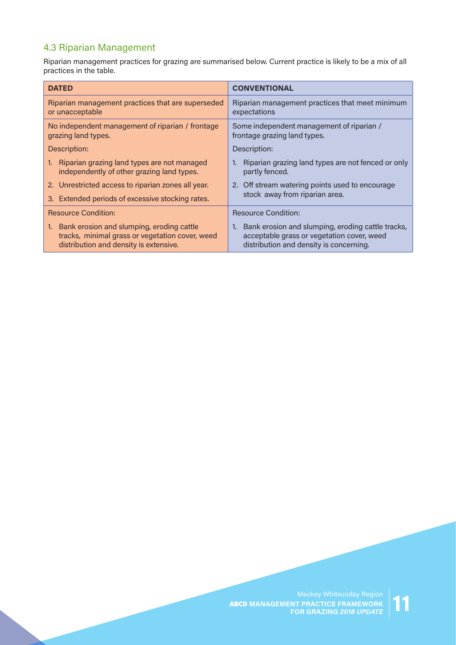## 4.3 Riparian Management

Riparian management practices for grazing are summarised below. Current practice is likely to be a mix of all practices in the table.

| <b>DATED</b>                                                                                                                                 | <b>CONVENTIONAL</b>                                                                                                                           |
|----------------------------------------------------------------------------------------------------------------------------------------------|-----------------------------------------------------------------------------------------------------------------------------------------------|
| Riparian management practices that are superseded<br>or unacceptable                                                                         | Riparian management practices that meet minimum<br>expectations                                                                               |
| No independent management of riparian / frontage<br>grazing land types.                                                                      | Some independent management of riparian /<br>frontage grazing land types.                                                                     |
| Description:                                                                                                                                 | Description:                                                                                                                                  |
| Riparian grazing land types are not managed<br>1.<br>independently of other grazing land types.                                              | Riparian grazing land types are not fenced or only<br>partly fenced.                                                                          |
| 2. Unrestricted access to riparian zones all year.                                                                                           | 2. Off stream watering points used to encourage                                                                                               |
| 3. Extended periods of excessive stocking rates.                                                                                             | stock away from riparian area.                                                                                                                |
| <b>Resource Condition:</b>                                                                                                                   | <b>Resource Condition:</b>                                                                                                                    |
| Bank erosion and slumping, eroding cattle<br>1.<br>tracks, minimal grass or vegetation cover, weed<br>distribution and density is extensive. | 1. Bank erosion and slumping, eroding cattle tracks,<br>acceptable grass or vegetation cover, weed<br>distribution and density is concerning. |

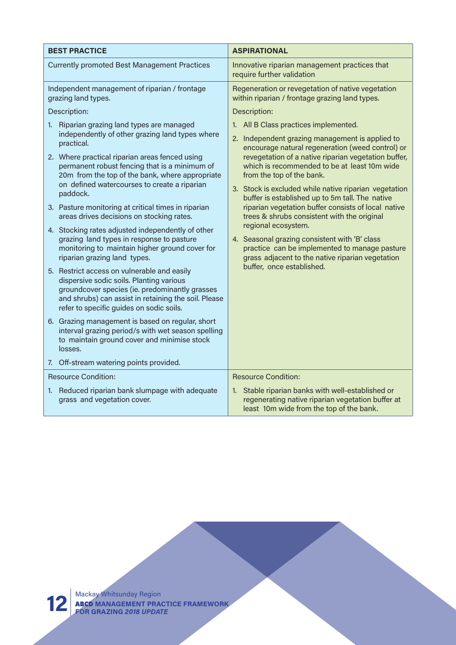| <b>BEST PRACTICE</b>                                                                                                                                                                                                                          | <b>ASPIRATIONAL</b>                                                                                                                                                                                                                            |
|-----------------------------------------------------------------------------------------------------------------------------------------------------------------------------------------------------------------------------------------------|------------------------------------------------------------------------------------------------------------------------------------------------------------------------------------------------------------------------------------------------|
| <b>Currently promoted Best Management Practices</b>                                                                                                                                                                                           | Innovative riparian management practices that<br>require further validation                                                                                                                                                                    |
| Independent management of riparian / frontage<br>grazing land types.                                                                                                                                                                          | Regeneration or revegetation of native vegetation<br>within riparian / frontage grazing land types.                                                                                                                                            |
| Description:                                                                                                                                                                                                                                  | Description:                                                                                                                                                                                                                                   |
| Riparian grazing land types are managed<br>1.                                                                                                                                                                                                 | 1. All B Class practices implemented.                                                                                                                                                                                                          |
| independently of other grazing land types where<br>practical.                                                                                                                                                                                 | 2. Independent grazing management is applied to                                                                                                                                                                                                |
| 2. Where practical riparian areas fenced using<br>permanent robust fencing that is a minimum of<br>20m from the top of the bank, where appropriate<br>on defined watercourses to create a riparian                                            | encourage natural regeneration (weed control) or<br>revegetation of a native riparian vegetation buffer,<br>which is recommended to be at least 10m wide<br>from the top of the bank.<br>3. Stock is excluded while native riparian vegetation |
| paddock.                                                                                                                                                                                                                                      | buffer is established up to 5m tall. The native                                                                                                                                                                                                |
| 3. Pasture monitoring at critical times in riparian<br>areas drives decisions on stocking rates.                                                                                                                                              | riparian vegetation buffer consists of local native<br>trees & shrubs consistent with the original                                                                                                                                             |
| 4. Stocking rates adjusted independently of other<br>grazing land types in response to pasture<br>monitoring to maintain higher ground cover for<br>riparian grazing land types.                                                              | regional ecosystem.<br>4. Seasonal grazing consistent with 'B' class<br>practice can be implemented to manage pasture<br>grass adjacent to the native riparian vegetation                                                                      |
| 5. Restrict access on vulnerable and easily<br>dispersive sodic soils. Planting various<br>groundcover species (ie. predominantly grasses<br>and shrubs) can assist in retaining the soil. Please<br>refer to specific guides on sodic soils. | buffer, once established.                                                                                                                                                                                                                      |
| 6. Grazing management is based on regular, short<br>interval grazing period/s with wet season spelling<br>to maintain ground cover and minimise stock<br>losses.                                                                              |                                                                                                                                                                                                                                                |
| 7. Off-stream watering points provided.                                                                                                                                                                                                       |                                                                                                                                                                                                                                                |
| <b>Resource Condition:</b>                                                                                                                                                                                                                    | <b>Resource Condition:</b>                                                                                                                                                                                                                     |
| 1. Reduced riparian bank slumpage with adequate<br>grass and vegetation cover.                                                                                                                                                                | 1. Stable riparian banks with well-established or<br>regenerating native riparian vegetation buffer at<br>least 10m wide from the top of the bank.                                                                                             |

Mackay Whitsunday Region ABCD **MANAGEMENT PRACTICE FRAMEWORK 12 FOR GRAZING** *2018 UPDATE*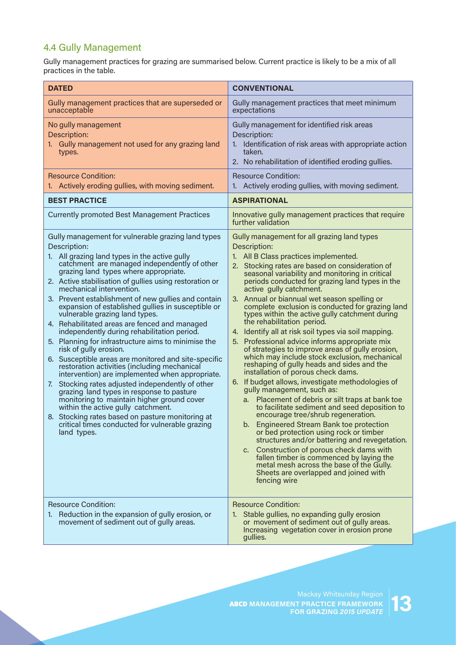## 4.4 Gully Management

Gully management practices for grazing are summarised below. Current practice is likely to be a mix of all practices in the table.

| <b>DATED</b>                                                                                                                                                                                                                                                                                                                                                                                                                                                                                                                                                                                                                                                                                                                                                                                                                                                                                                                                                                                                                                                                                                  | <b>CONVENTIONAL</b>                                                                                                                                                                                                                                                                                                                                                                                                                                                                                                                                                                                                                                                                                                                                                                                                                                                                                                                                                                                                                                                                                                                                                                                                                                                                                                                                |
|---------------------------------------------------------------------------------------------------------------------------------------------------------------------------------------------------------------------------------------------------------------------------------------------------------------------------------------------------------------------------------------------------------------------------------------------------------------------------------------------------------------------------------------------------------------------------------------------------------------------------------------------------------------------------------------------------------------------------------------------------------------------------------------------------------------------------------------------------------------------------------------------------------------------------------------------------------------------------------------------------------------------------------------------------------------------------------------------------------------|----------------------------------------------------------------------------------------------------------------------------------------------------------------------------------------------------------------------------------------------------------------------------------------------------------------------------------------------------------------------------------------------------------------------------------------------------------------------------------------------------------------------------------------------------------------------------------------------------------------------------------------------------------------------------------------------------------------------------------------------------------------------------------------------------------------------------------------------------------------------------------------------------------------------------------------------------------------------------------------------------------------------------------------------------------------------------------------------------------------------------------------------------------------------------------------------------------------------------------------------------------------------------------------------------------------------------------------------------|
| Gully management practices that are superseded or<br>unacceptable                                                                                                                                                                                                                                                                                                                                                                                                                                                                                                                                                                                                                                                                                                                                                                                                                                                                                                                                                                                                                                             | Gully management practices that meet minimum<br>expectations                                                                                                                                                                                                                                                                                                                                                                                                                                                                                                                                                                                                                                                                                                                                                                                                                                                                                                                                                                                                                                                                                                                                                                                                                                                                                       |
| No gully management<br>Description:<br>1. Gully management not used for any grazing land<br>types.                                                                                                                                                                                                                                                                                                                                                                                                                                                                                                                                                                                                                                                                                                                                                                                                                                                                                                                                                                                                            | Gully management for identified risk areas<br>Description:<br>1. Identification of risk areas with appropriate action<br>taken.<br>2. No rehabilitation of identified eroding gullies.                                                                                                                                                                                                                                                                                                                                                                                                                                                                                                                                                                                                                                                                                                                                                                                                                                                                                                                                                                                                                                                                                                                                                             |
| <b>Resource Condition:</b><br>1. Actively eroding gullies, with moving sediment.                                                                                                                                                                                                                                                                                                                                                                                                                                                                                                                                                                                                                                                                                                                                                                                                                                                                                                                                                                                                                              | <b>Resource Condition:</b><br>1. Actively eroding gullies, with moving sediment.                                                                                                                                                                                                                                                                                                                                                                                                                                                                                                                                                                                                                                                                                                                                                                                                                                                                                                                                                                                                                                                                                                                                                                                                                                                                   |
| <b>BEST PRACTICE</b>                                                                                                                                                                                                                                                                                                                                                                                                                                                                                                                                                                                                                                                                                                                                                                                                                                                                                                                                                                                                                                                                                          | <b>ASPIRATIONAL</b>                                                                                                                                                                                                                                                                                                                                                                                                                                                                                                                                                                                                                                                                                                                                                                                                                                                                                                                                                                                                                                                                                                                                                                                                                                                                                                                                |
| <b>Currently promoted Best Management Practices</b>                                                                                                                                                                                                                                                                                                                                                                                                                                                                                                                                                                                                                                                                                                                                                                                                                                                                                                                                                                                                                                                           | Innovative gully management practices that require<br>further validation                                                                                                                                                                                                                                                                                                                                                                                                                                                                                                                                                                                                                                                                                                                                                                                                                                                                                                                                                                                                                                                                                                                                                                                                                                                                           |
| Gully management for vulnerable grazing land types<br>Description:<br>1. All grazing land types in the active gully<br>catchment are managed independently of other<br>grazing land types where appropriate.<br>2. Active stabilisation of gullies using restoration or<br>mechanical intervention.<br>3. Prevent establishment of new gullies and contain<br>expansion of established gullies in susceptible or<br>vulnerable grazing land types.<br>4. Rehabilitated areas are fenced and managed<br>independently during rehabilitation period.<br>5. Planning for infrastructure aims to minimise the<br>risk of gully erosion.<br>6. Susceptible areas are monitored and site-specific<br>restoration activities (including mechanical<br>intervention) are implemented when appropriate.<br>Stocking rates adjusted independently of other<br>7.<br>grazing land types in response to pasture<br>monitoring to maintain higher ground cover<br>within the active gully catchment.<br>8. Stocking rates based on pasture monitoring at<br>critical times conducted for vulnerable grazing<br>land types. | Gully management for all grazing land types<br>Description:<br>1. All B Class practices implemented.<br>2. Stocking rates are based on consideration of<br>seasonal variability and monitoring in critical<br>periods conducted for grazing land types in the<br>active gully catchment.<br>3. Annual or biannual wet season spelling or<br>complete exclusion is conducted for grazing land<br>types within the active gully catchment during<br>the rehabilitation period.<br>4. Identify all at risk soil types via soil mapping.<br>5. Professional advice informs appropriate mix<br>of strategies to improve areas of gully erosion,<br>which may include stock exclusion, mechanical<br>reshaping of gully heads and sides and the<br>installation of porous check dams.<br>6. If budget allows, investigate methodologies of<br>gully management, such as:<br>a. Placement of debris or silt traps at bank toe<br>to facilitate sediment and seed deposition to<br>encourage tree/shrub regeneration.<br>b. Engineered Stream Bank toe protection<br>or bed protection using rock or timber<br>structures and/or battering and revegetation.<br>c. Construction of porous check dams with<br>fallen timber is commenced by laying the<br>metal mesh across the base of the Gully.<br>Sheets are overlapped and joined with<br>fencing wire |
| <b>Resource Condition:</b><br>1. Reduction in the expansion of gully erosion, or<br>movement of sediment out of gully areas.                                                                                                                                                                                                                                                                                                                                                                                                                                                                                                                                                                                                                                                                                                                                                                                                                                                                                                                                                                                  | <b>Resource Condition:</b><br>1. Stable gullies, no expanding gully erosion<br>or movement of sediment out of gully areas.<br>Increasing vegetation cover in erosion prone<br>gullies.                                                                                                                                                                                                                                                                                                                                                                                                                                                                                                                                                                                                                                                                                                                                                                                                                                                                                                                                                                                                                                                                                                                                                             |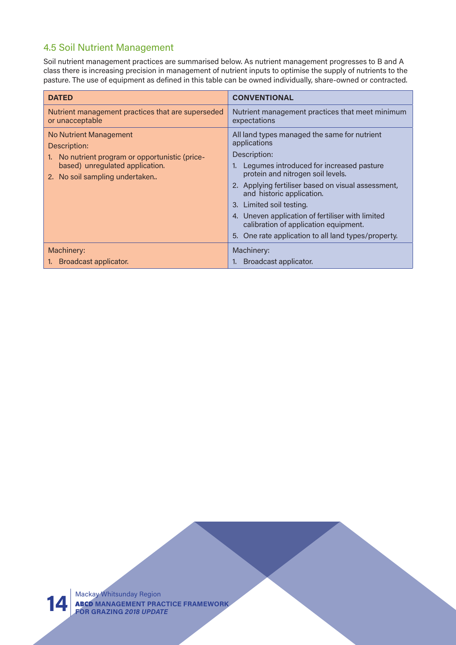### 4.5 Soil Nutrient Management

Soil nutrient management practices are summarised below. As nutrient management progresses to B and A class there is increasing precision in management of nutrient inputs to optimise the supply of nutrients to the pasture. The use of equipment as defined in this table can be owned individually, share-owned or contracted.

| <b>DATED</b>                                                                                                                                                       | <b>CONVENTIONAL</b>                                                                                                                                                                                                                                                                                                                                                                                                              |
|--------------------------------------------------------------------------------------------------------------------------------------------------------------------|----------------------------------------------------------------------------------------------------------------------------------------------------------------------------------------------------------------------------------------------------------------------------------------------------------------------------------------------------------------------------------------------------------------------------------|
| Nutrient management practices that are superseded<br>or unacceptable                                                                                               | Nutrient management practices that meet minimum<br>expectations                                                                                                                                                                                                                                                                                                                                                                  |
| <b>No Nutrient Management</b><br>Description:<br>No nutrient program or opportunistic (price-<br>based) unregulated application.<br>2. No soil sampling undertaken | All land types managed the same for nutrient<br>applications<br>Description:<br>Legumes introduced for increased pasture<br>protein and nitrogen soil levels.<br>2. Applying fertiliser based on visual assessment,<br>and historic application.<br>3. Limited soil testing.<br>4. Uneven application of fertiliser with limited<br>calibration of application equipment.<br>5. One rate application to all land types/property. |
| Machinery:<br>1. Broadcast applicator.                                                                                                                             | Machinery:<br>Broadcast applicator.<br>1 <sub>1</sub>                                                                                                                                                                                                                                                                                                                                                                            |



Mackay Whitsunday Region ABCD **MANAGEMENT PRACTICE FRAMEWORK 14 FOR GRAZING** *2018 UPDATE*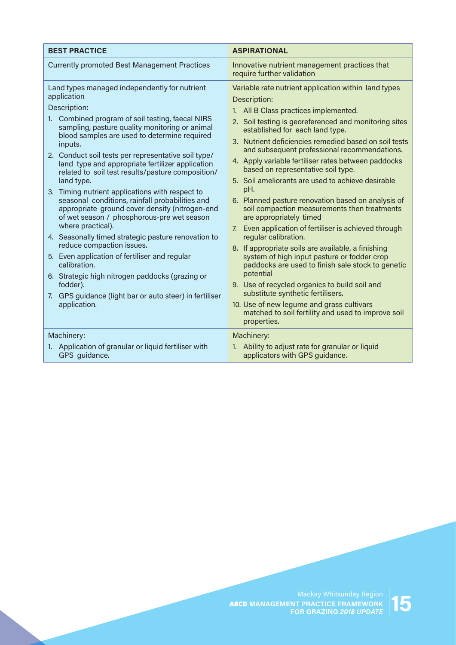| <b>BEST PRACTICE</b>                                                                                                                                                                                                                                                                                                                                                                                                                                                                                                                                                                                                                                                                                                                                                                                                                                                                                                                                  | <b>ASPIRATIONAL</b>                                                                                                                                                                                                                                                                                                                                                                                                                                                                                                                                                                                                                                                                                                                                                                                                                                                                                                                                                                                                                                                          |
|-------------------------------------------------------------------------------------------------------------------------------------------------------------------------------------------------------------------------------------------------------------------------------------------------------------------------------------------------------------------------------------------------------------------------------------------------------------------------------------------------------------------------------------------------------------------------------------------------------------------------------------------------------------------------------------------------------------------------------------------------------------------------------------------------------------------------------------------------------------------------------------------------------------------------------------------------------|------------------------------------------------------------------------------------------------------------------------------------------------------------------------------------------------------------------------------------------------------------------------------------------------------------------------------------------------------------------------------------------------------------------------------------------------------------------------------------------------------------------------------------------------------------------------------------------------------------------------------------------------------------------------------------------------------------------------------------------------------------------------------------------------------------------------------------------------------------------------------------------------------------------------------------------------------------------------------------------------------------------------------------------------------------------------------|
| <b>Currently promoted Best Management Practices</b>                                                                                                                                                                                                                                                                                                                                                                                                                                                                                                                                                                                                                                                                                                                                                                                                                                                                                                   | Innovative nutrient management practices that<br>require further validation                                                                                                                                                                                                                                                                                                                                                                                                                                                                                                                                                                                                                                                                                                                                                                                                                                                                                                                                                                                                  |
| Land types managed independently for nutrient<br>application<br>Description:<br>1. Combined program of soil testing, faecal NIRS<br>sampling, pasture quality monitoring or animal<br>blood samples are used to determine required<br>inputs.<br>2. Conduct soil tests per representative soil type/<br>land type and appropriate fertilizer application<br>related to soil test results/pasture composition/<br>land type.<br>3. Timing nutrient applications with respect to<br>seasonal conditions, rainfall probabilities and<br>appropriate ground cover density (nitrogen-end<br>of wet season / phosphorous-pre wet season<br>where practical).<br>4. Seasonally timed strategic pasture renovation to<br>reduce compaction issues.<br>5. Even application of fertiliser and regular<br>calibration.<br>6. Strategic high nitrogen paddocks (grazing or<br>fodder).<br>7. GPS guidance (light bar or auto steer) in fertiliser<br>application. | Variable rate nutrient application within land types<br>Description:<br>1. All B Class practices implemented.<br>2. Soil testing is georeferenced and monitoring sites<br>established for each land type.<br>3. Nutrient deficiencies remedied based on soil tests<br>and subsequent professional recommendations.<br>4. Apply variable fertiliser rates between paddocks<br>based on representative soil type.<br>5. Soil ameliorants are used to achieve desirable<br>pH.<br>6. Planned pasture renovation based on analysis of<br>soil compaction measurements then treatments<br>are appropriately timed<br>7. Even application of fertiliser is achieved through<br>regular calibration.<br>8. If appropriate soils are available, a finishing<br>system of high input pasture or fodder crop<br>paddocks are used to finish sale stock to genetic<br>potential<br>9. Use of recycled organics to build soil and<br>substitute synthetic fertilisers.<br>10. Use of new legume and grass cultivars<br>matched to soil fertility and used to improve soil<br>properties. |
| Machinery:<br>1. Application of granular or liquid fertiliser with<br>GPS guidance.                                                                                                                                                                                                                                                                                                                                                                                                                                                                                                                                                                                                                                                                                                                                                                                                                                                                   | Machinery:<br>1. Ability to adjust rate for granular or liquid<br>applicators with GPS guidance.                                                                                                                                                                                                                                                                                                                                                                                                                                                                                                                                                                                                                                                                                                                                                                                                                                                                                                                                                                             |

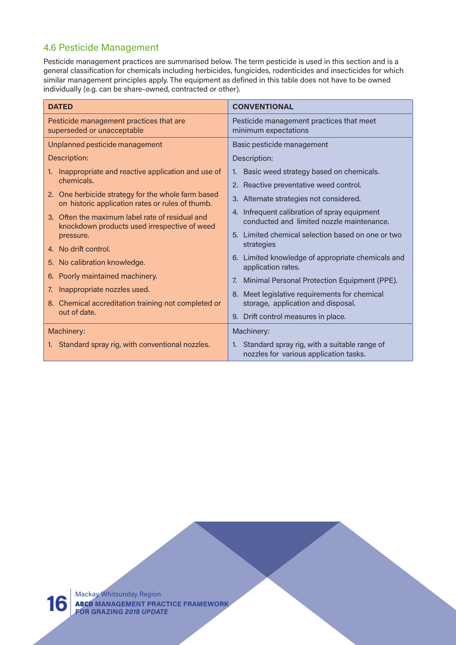### 4.6 Pesticide Management

Pesticide management practices are summarised below. The term pesticide is used in this section and is a general classification for chemicals including herbicides, fungicides, rodenticides and insecticides for which similar management principles apply. The equipment as defined in this table does not have to be owned individually (e.g. can be share-owned, contracted or other).

| <b>DATED</b>                                                          |                                                                                                        | <b>CONVENTIONAL</b>                                                                       |
|-----------------------------------------------------------------------|--------------------------------------------------------------------------------------------------------|-------------------------------------------------------------------------------------------|
| Pesticide management practices that are<br>superseded or unacceptable |                                                                                                        | Pesticide management practices that meet<br>minimum expectations                          |
| Unplanned pesticide management                                        |                                                                                                        | Basic pesticide management                                                                |
| Description:                                                          |                                                                                                        | Description:                                                                              |
| 1.                                                                    | Inappropriate and reactive application and use of                                                      | 1. Basic weed strategy based on chemicals.                                                |
|                                                                       | chemicals.                                                                                             | 2. Reactive preventative weed control.                                                    |
|                                                                       | 2. One herbicide strategy for the whole farm based<br>on historic application rates or rules of thumb. | 3. Alternate strategies not considered.                                                   |
|                                                                       | 3. Often the maximum label rate of residual and<br>knockdown products used irrespective of weed        | 4. Infrequent calibration of spray equipment<br>conducted and limited nozzle maintenance. |
|                                                                       | pressure.                                                                                              | 5. Limited chemical selection based on one or two                                         |
|                                                                       | 4. No drift control.                                                                                   | strategies                                                                                |
|                                                                       | 5. No calibration knowledge.                                                                           | 6. Limited knowledge of appropriate chemicals and<br>application rates.                   |
| 6.                                                                    | Poorly maintained machinery.                                                                           | Minimal Personal Protection Equipment (PPE).<br>7.                                        |
| 7.                                                                    | Inappropriate nozzles used.                                                                            | 8. Meet legislative requirements for chemical                                             |
|                                                                       | 8. Chemical accreditation training not completed or                                                    | storage, application and disposal.                                                        |
|                                                                       | out of date.                                                                                           | 9. Drift control measures in place.                                                       |
| Machinery:                                                            |                                                                                                        | Machinery:                                                                                |
|                                                                       | 1. Standard spray rig, with conventional nozzles.                                                      | 1. Standard spray rig, with a suitable range of<br>nozzles for various application tasks. |

Mackay Whitsunday Region ABCD **MANAGEMENT PRACTICE FRAMEWORK 16 FOR GRAZING** *2018 UPDATE*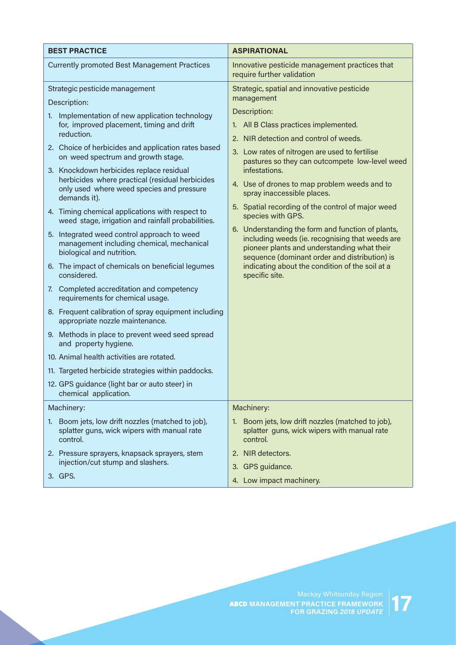| <b>BEST PRACTICE</b>                                                                                                  | <b>ASPIRATIONAL</b>                                                                                                                             |
|-----------------------------------------------------------------------------------------------------------------------|-------------------------------------------------------------------------------------------------------------------------------------------------|
| <b>Currently promoted Best Management Practices</b>                                                                   | Innovative pesticide management practices that<br>require further validation                                                                    |
| Strategic pesticide management                                                                                        | Strategic, spatial and innovative pesticide                                                                                                     |
| Description:                                                                                                          | management                                                                                                                                      |
| Implementation of new application technology<br>1.                                                                    | Description:                                                                                                                                    |
| for, improved placement, timing and drift<br>reduction.                                                               | 1. All B Class practices implemented.                                                                                                           |
| 2. Choice of herbicides and application rates based                                                                   | 2. NIR detection and control of weeds.                                                                                                          |
| on weed spectrum and growth stage.                                                                                    | 3. Low rates of nitrogen are used to fertilise<br>pastures so they can outcompete low-level weed                                                |
| 3. Knockdown herbicides replace residual                                                                              | infestations.                                                                                                                                   |
| herbicides where practical (residual herbicides<br>only used where weed species and pressure<br>demands it).          | 4. Use of drones to map problem weeds and to<br>spray inaccessible places.                                                                      |
| 4. Timing chemical applications with respect to<br>weed stage, irrigation and rainfall probabilities.                 | 5. Spatial recording of the control of major weed<br>species with GPS.                                                                          |
|                                                                                                                       | 6. Understanding the form and function of plants,                                                                                               |
| 5. Integrated weed control approach to weed<br>management including chemical, mechanical<br>biological and nutrition. | including weeds (ie. recognising that weeds are<br>pioneer plants and understanding what their<br>sequence (dominant order and distribution) is |
| 6. The impact of chemicals on beneficial legumes<br>considered.                                                       | indicating about the condition of the soil at a<br>specific site.                                                                               |
| 7. Completed accreditation and competency<br>requirements for chemical usage.                                         |                                                                                                                                                 |
| 8. Frequent calibration of spray equipment including<br>appropriate nozzle maintenance.                               |                                                                                                                                                 |
| 9. Methods in place to prevent weed seed spread<br>and property hygiene.                                              |                                                                                                                                                 |
| 10. Animal health activities are rotated.                                                                             |                                                                                                                                                 |
| 11. Targeted herbicide strategies within paddocks.                                                                    |                                                                                                                                                 |
| 12. GPS guidance (light bar or auto steer) in<br>chemical application.                                                |                                                                                                                                                 |
| Machinery:                                                                                                            | Machinery:                                                                                                                                      |
| Boom jets, low drift nozzles (matched to job),<br>1.<br>splatter guns, wick wipers with manual rate<br>control.       | Boom jets, low drift nozzles (matched to job),<br>1.<br>splatter guns, wick wipers with manual rate<br>control.                                 |
| 2. Pressure sprayers, knapsack sprayers, stem                                                                         | 2. NIR detectors.                                                                                                                               |
| injection/cut stump and slashers.                                                                                     | GPS guidance.<br>3.                                                                                                                             |
| 3. GPS.                                                                                                               | 4. Low impact machinery.                                                                                                                        |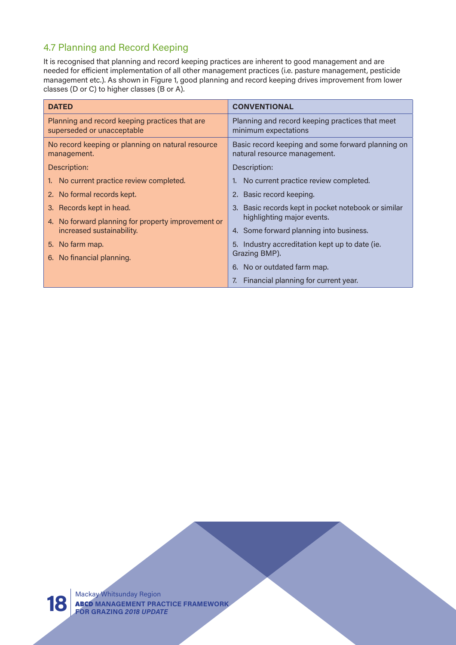## 4.7 Planning and Record Keeping

It is recognised that planning and record keeping practices are inherent to good management and are needed for efficient implementation of all other management practices (i.e. pasture management, pesticide management etc.). As shown in Figure 1, good planning and record keeping drives improvement from lower classes (D or C) to higher classes (B or A).

| <b>DATED</b>                                                                 | <b>CONVENTIONAL</b>                                                               |
|------------------------------------------------------------------------------|-----------------------------------------------------------------------------------|
| Planning and record keeping practices that are<br>superseded or unacceptable | Planning and record keeping practices that meet<br>minimum expectations           |
| No record keeping or planning on natural resource<br>management.             | Basic record keeping and some forward planning on<br>natural resource management. |
| Description:                                                                 | Description:                                                                      |
| 1. No current practice review completed.                                     | No current practice review completed.                                             |
| 2. No formal records kept.                                                   | 2. Basic record keeping.                                                          |
| 3. Records kept in head.                                                     | 3. Basic records kept in pocket notebook or similar                               |
| 4. No forward planning for property improvement or                           | highlighting major events.                                                        |
| increased sustainability.                                                    | 4. Some forward planning into business.                                           |
| 5. No farm map.                                                              | 5. Industry accreditation kept up to date (ie.                                    |
| 6. No financial planning.                                                    | Grazing BMP).                                                                     |
|                                                                              | 6. No or outdated farm map.                                                       |
|                                                                              | Financial planning for current year.                                              |

Mackay Whitsunday Region ABCD **MANAGEMENT PRACTICE FRAMEWORK 18 FOR GRAZING** *2018 UPDATE*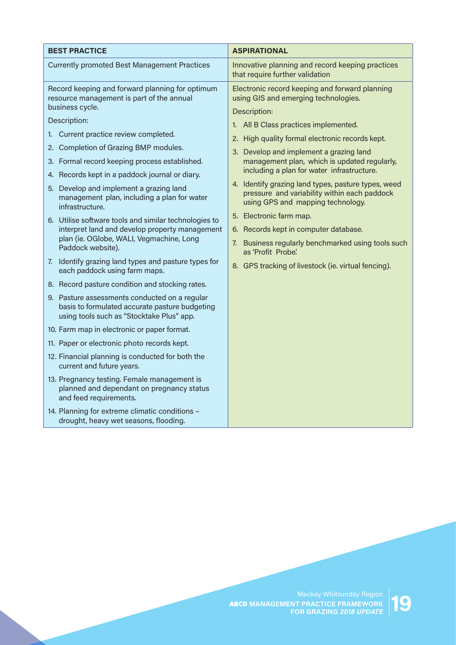| <b>Currently promoted Best Management Practices</b><br>Innovative planning and record keeping practices<br>that require further validation<br>Record keeping and forward planning for optimum<br>Electronic record keeping and forward planning<br>resource management is part of the annual<br>using GIS and emerging technologies.<br>business cycle.<br>Description:<br>Description:<br>1. All B Class practices implemented.<br>1. Current practice review completed.<br>2. High quality formal electronic records kept.<br>2. Completion of Grazing BMP modules.<br>3. Develop and implement a grazing land<br>3. Formal record keeping process established.<br>management plan, which is updated regularly,<br>including a plan for water infrastructure.<br>4. Records kept in a paddock journal or diary.<br>4. Identify grazing land types, pasture types, weed<br>5. Develop and implement a grazing land<br>pressure and variability within each paddock<br>management plan, including a plan for water<br>using GPS and mapping technology.<br>infrastructure.<br>5. Electronic farm map.<br>6. Utilise software tools and similar technologies to<br>interpret land and develop property management<br>6. Records kept in computer database.<br>plan (ie. OGlobe, WALI, Vegmachine, Long<br>7. Business regularly benchmarked using tools such<br>Paddock website).<br>as 'Profit Probe'<br>7. Identify grazing land types and pasture types for<br>8. GPS tracking of livestock (ie. virtual fencing).<br>each paddock using farm maps.<br>8. Record pasture condition and stocking rates.<br>9. Pasture assessments conducted on a regular<br>basis to formulated accurate pasture budgeting<br>using tools such as "Stocktake Plus" app.<br>10. Farm map in electronic or paper format.<br>11. Paper or electronic photo records kept.<br>12. Financial planning is conducted for both the<br>current and future years.<br>13. Pregnancy testing. Female management is<br>planned and dependant on pregnancy status<br>and feed requirements.<br>14. Planning for extreme climatic conditions - | <b>BEST PRACTICE</b> | <b>ASPIRATIONAL</b> |
|-----------------------------------------------------------------------------------------------------------------------------------------------------------------------------------------------------------------------------------------------------------------------------------------------------------------------------------------------------------------------------------------------------------------------------------------------------------------------------------------------------------------------------------------------------------------------------------------------------------------------------------------------------------------------------------------------------------------------------------------------------------------------------------------------------------------------------------------------------------------------------------------------------------------------------------------------------------------------------------------------------------------------------------------------------------------------------------------------------------------------------------------------------------------------------------------------------------------------------------------------------------------------------------------------------------------------------------------------------------------------------------------------------------------------------------------------------------------------------------------------------------------------------------------------------------------------------------------------------------------------------------------------------------------------------------------------------------------------------------------------------------------------------------------------------------------------------------------------------------------------------------------------------------------------------------------------------------------------------------------------------------------------------------------------------------------------------------------------------------------|----------------------|---------------------|
|                                                                                                                                                                                                                                                                                                                                                                                                                                                                                                                                                                                                                                                                                                                                                                                                                                                                                                                                                                                                                                                                                                                                                                                                                                                                                                                                                                                                                                                                                                                                                                                                                                                                                                                                                                                                                                                                                                                                                                                                                                                                                                                 |                      |                     |
|                                                                                                                                                                                                                                                                                                                                                                                                                                                                                                                                                                                                                                                                                                                                                                                                                                                                                                                                                                                                                                                                                                                                                                                                                                                                                                                                                                                                                                                                                                                                                                                                                                                                                                                                                                                                                                                                                                                                                                                                                                                                                                                 |                      |                     |
|                                                                                                                                                                                                                                                                                                                                                                                                                                                                                                                                                                                                                                                                                                                                                                                                                                                                                                                                                                                                                                                                                                                                                                                                                                                                                                                                                                                                                                                                                                                                                                                                                                                                                                                                                                                                                                                                                                                                                                                                                                                                                                                 |                      |                     |
|                                                                                                                                                                                                                                                                                                                                                                                                                                                                                                                                                                                                                                                                                                                                                                                                                                                                                                                                                                                                                                                                                                                                                                                                                                                                                                                                                                                                                                                                                                                                                                                                                                                                                                                                                                                                                                                                                                                                                                                                                                                                                                                 |                      |                     |
|                                                                                                                                                                                                                                                                                                                                                                                                                                                                                                                                                                                                                                                                                                                                                                                                                                                                                                                                                                                                                                                                                                                                                                                                                                                                                                                                                                                                                                                                                                                                                                                                                                                                                                                                                                                                                                                                                                                                                                                                                                                                                                                 |                      |                     |
|                                                                                                                                                                                                                                                                                                                                                                                                                                                                                                                                                                                                                                                                                                                                                                                                                                                                                                                                                                                                                                                                                                                                                                                                                                                                                                                                                                                                                                                                                                                                                                                                                                                                                                                                                                                                                                                                                                                                                                                                                                                                                                                 |                      |                     |
|                                                                                                                                                                                                                                                                                                                                                                                                                                                                                                                                                                                                                                                                                                                                                                                                                                                                                                                                                                                                                                                                                                                                                                                                                                                                                                                                                                                                                                                                                                                                                                                                                                                                                                                                                                                                                                                                                                                                                                                                                                                                                                                 |                      |                     |
|                                                                                                                                                                                                                                                                                                                                                                                                                                                                                                                                                                                                                                                                                                                                                                                                                                                                                                                                                                                                                                                                                                                                                                                                                                                                                                                                                                                                                                                                                                                                                                                                                                                                                                                                                                                                                                                                                                                                                                                                                                                                                                                 |                      |                     |
|                                                                                                                                                                                                                                                                                                                                                                                                                                                                                                                                                                                                                                                                                                                                                                                                                                                                                                                                                                                                                                                                                                                                                                                                                                                                                                                                                                                                                                                                                                                                                                                                                                                                                                                                                                                                                                                                                                                                                                                                                                                                                                                 |                      |                     |
|                                                                                                                                                                                                                                                                                                                                                                                                                                                                                                                                                                                                                                                                                                                                                                                                                                                                                                                                                                                                                                                                                                                                                                                                                                                                                                                                                                                                                                                                                                                                                                                                                                                                                                                                                                                                                                                                                                                                                                                                                                                                                                                 |                      |                     |
|                                                                                                                                                                                                                                                                                                                                                                                                                                                                                                                                                                                                                                                                                                                                                                                                                                                                                                                                                                                                                                                                                                                                                                                                                                                                                                                                                                                                                                                                                                                                                                                                                                                                                                                                                                                                                                                                                                                                                                                                                                                                                                                 |                      |                     |
|                                                                                                                                                                                                                                                                                                                                                                                                                                                                                                                                                                                                                                                                                                                                                                                                                                                                                                                                                                                                                                                                                                                                                                                                                                                                                                                                                                                                                                                                                                                                                                                                                                                                                                                                                                                                                                                                                                                                                                                                                                                                                                                 |                      |                     |
|                                                                                                                                                                                                                                                                                                                                                                                                                                                                                                                                                                                                                                                                                                                                                                                                                                                                                                                                                                                                                                                                                                                                                                                                                                                                                                                                                                                                                                                                                                                                                                                                                                                                                                                                                                                                                                                                                                                                                                                                                                                                                                                 |                      |                     |
|                                                                                                                                                                                                                                                                                                                                                                                                                                                                                                                                                                                                                                                                                                                                                                                                                                                                                                                                                                                                                                                                                                                                                                                                                                                                                                                                                                                                                                                                                                                                                                                                                                                                                                                                                                                                                                                                                                                                                                                                                                                                                                                 |                      |                     |
|                                                                                                                                                                                                                                                                                                                                                                                                                                                                                                                                                                                                                                                                                                                                                                                                                                                                                                                                                                                                                                                                                                                                                                                                                                                                                                                                                                                                                                                                                                                                                                                                                                                                                                                                                                                                                                                                                                                                                                                                                                                                                                                 |                      |                     |
|                                                                                                                                                                                                                                                                                                                                                                                                                                                                                                                                                                                                                                                                                                                                                                                                                                                                                                                                                                                                                                                                                                                                                                                                                                                                                                                                                                                                                                                                                                                                                                                                                                                                                                                                                                                                                                                                                                                                                                                                                                                                                                                 |                      |                     |
|                                                                                                                                                                                                                                                                                                                                                                                                                                                                                                                                                                                                                                                                                                                                                                                                                                                                                                                                                                                                                                                                                                                                                                                                                                                                                                                                                                                                                                                                                                                                                                                                                                                                                                                                                                                                                                                                                                                                                                                                                                                                                                                 |                      |                     |
|                                                                                                                                                                                                                                                                                                                                                                                                                                                                                                                                                                                                                                                                                                                                                                                                                                                                                                                                                                                                                                                                                                                                                                                                                                                                                                                                                                                                                                                                                                                                                                                                                                                                                                                                                                                                                                                                                                                                                                                                                                                                                                                 |                      |                     |
|                                                                                                                                                                                                                                                                                                                                                                                                                                                                                                                                                                                                                                                                                                                                                                                                                                                                                                                                                                                                                                                                                                                                                                                                                                                                                                                                                                                                                                                                                                                                                                                                                                                                                                                                                                                                                                                                                                                                                                                                                                                                                                                 |                      |                     |
| drought, heavy wet seasons, flooding.                                                                                                                                                                                                                                                                                                                                                                                                                                                                                                                                                                                                                                                                                                                                                                                                                                                                                                                                                                                                                                                                                                                                                                                                                                                                                                                                                                                                                                                                                                                                                                                                                                                                                                                                                                                                                                                                                                                                                                                                                                                                           |                      |                     |

ABCD **MANAGEMENT PRACTICE FRAMEWORK FOR GRAZING 2018 UPDATE**<br>**FOR GRAZING 2018 UPDATE**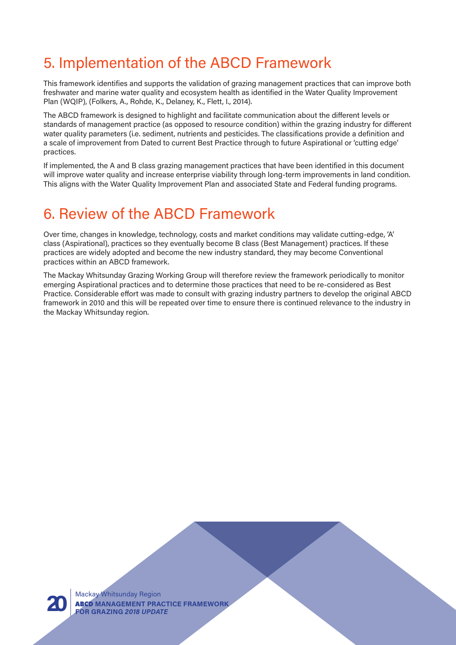## 5. Implementation of the ABCD Framework

This framework identifies and supports the validation of grazing management practices that can improve both freshwater and marine water quality and ecosystem health as identified in the Water Quality Improvement Plan (WQIP), (Folkers, A., Rohde, K., Delaney, K., Flett, I., 2014).

The ABCD framework is designed to highlight and facilitate communication about the different levels or standards of management practice (as opposed to resource condition) within the grazing industry for different water quality parameters (i.e. sediment, nutrients and pesticides. The classifications provide a definition and a scale of improvement from Dated to current Best Practice through to future Aspirational or 'cutting edge' practices.

If implemented, the A and B class grazing management practices that have been identified in this document will improve water quality and increase enterprise viability through long-term improvements in land condition. This aligns with the Water Quality Improvement Plan and associated State and Federal funding programs.

## 6. Review of the ABCD Framework

Over time, changes in knowledge, technology, costs and market conditions may validate cutting-edge, 'A' class (Aspirational), practices so they eventually become B class (Best Management) practices. If these practices are widely adopted and become the new industry standard, they may become Conventional practices within an ABCD framework.

The Mackay Whitsunday Grazing Working Group will therefore review the framework periodically to monitor emerging Aspirational practices and to determine those practices that need to be re-considered as Best Practice. Considerable effort was made to consult with grazing industry partners to develop the original ABCD framework in 2010 and this will be repeated over time to ensure there is continued relevance to the industry in the Mackay Whitsunday region.



Mackay Whitsunday Region ABCD **MANAGEMENT PRACTICE FRAMEWORK 20 FOR GRAZING** *2018 UPDATE*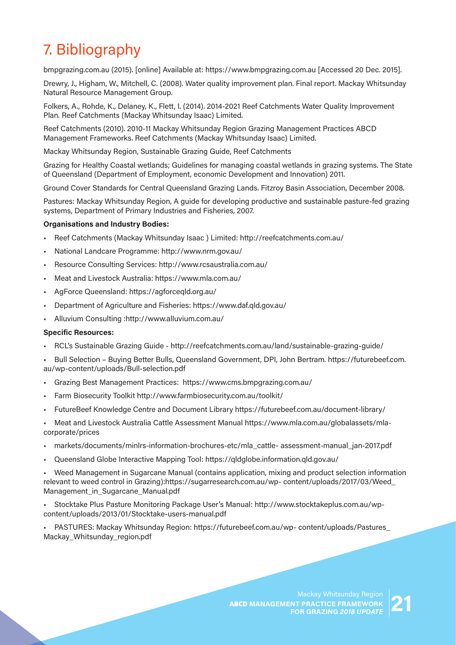# 7. Bibliography

bmpgrazing.com.au (2015). [online] Available at: https://www.bmpgrazing.com.au [Accessed 20 Dec. 2015].

Drewry, J., Higham, W., Mitchell, C. (2008). Water quality improvement plan. Final report. Mackay Whitsunday Natural Resource Management Group.

Folkers, A., Rohde, K., Delaney, K., Flett, I. (2014). 2014-2021 Reef Catchments Water Quality Improvement Plan. Reef Catchments (Mackay Whitsunday Isaac) Limited.

Reef Catchments (2010). 2010-11 Mackay Whitsunday Region Grazing Management Practices ABCD Management Frameworks. Reef Catchments (Mackay Whitsunday Isaac) Limited.

Mackay Whitsunday Region, Sustainable Grazing Guide, Reef Catchments

Grazing for Healthy Coastal wetlands; Guidelines for managing coastal wetlands in grazing systems. The State of Queensland (Department of Employment, economic Development and Innovation) 2011.

Ground Cover Standards for Central Queensland Grazing Lands. Fitzroy Basin Association, December 2008.

Pastures: Mackay Whitsunday Region, A guide for developing productive and sustainable pasture-fed grazing systems, Department of Primary Industries and Fisheries, 2007.

#### **Organisations and Industry Bodies:**

- Reef Catchments (Mackay Whitsunday Isaac ) Limited: http://reefcatchments.com.au/
- National Landcare Programme: http://www.nrm.gov.au/
- Resource Consulting Services: http://www.rcsaustralia.com.au/
- Meat and Livestock Australia: https://www.mla.com.au/
- AgForce Queensland: https://agforceqld.org.au/
- Department of Agriculture and Fisheries: https://www.daf.qld.gov.au/
- Alluvium Consulting :http://www.alluvium.com.au/

#### **Specific Resources:**

- RCL's Sustainable Grazing Guide http://reefcatchments.com.au/land/sustainable-grazing-guide/
- Bull Selection Buying Better Bulls, Queensland Government, DPI, John Bertram. https://futurebeef.com. au/wp-content/uploads/Bull-selection.pdf
- Grazing Best Management Practices: https://www.cms.bmpgrazing.com.au/
- Farm Biosecurity Toolkit http://www.farmbiosecurity.com.au/toolkit/
- FutureBeef Knowledge Centre and Document Library https://futurebeef.com.au/document-library/
- Meat and Livestock Australia Cattle Assessment Manual https://www.mla.com.au/globalassets/mlacorporate/prices
- markets/documents/minlrs-information-brochures-etc/mla\_cattle- assessment-manual\_jan-2017.pdf
- Queensland Globe Interactive Mapping Tool: https://qldglobe.information.qld.gov.au/

• Weed Management in Sugarcane Manual (contains application, mixing and product selection information relevant to weed control in Grazing):https://sugarresearch.com.au/wp- content/uploads/2017/03/Weed\_ Management\_in\_Sugarcane\_Manual.pdf

• Stocktake Plus Pasture Monitoring Package User's Manual: http://www.stocktakeplus.com.au/wpcontent/uploads/2013/01/Stocktake-users-manual.pdf

• PASTURES: Mackay Whitsunday Region: https://futurebeef.com.au/wp- content/uploads/Pastures\_ Mackay\_Whitsunday\_region.pdf

> ABCD **MANAGEMENT PRACTICE FRAMEWORK FOR GRAZING 2018 UPDATE**<br>**FOR GRAZING 2018 UPDATE** 21